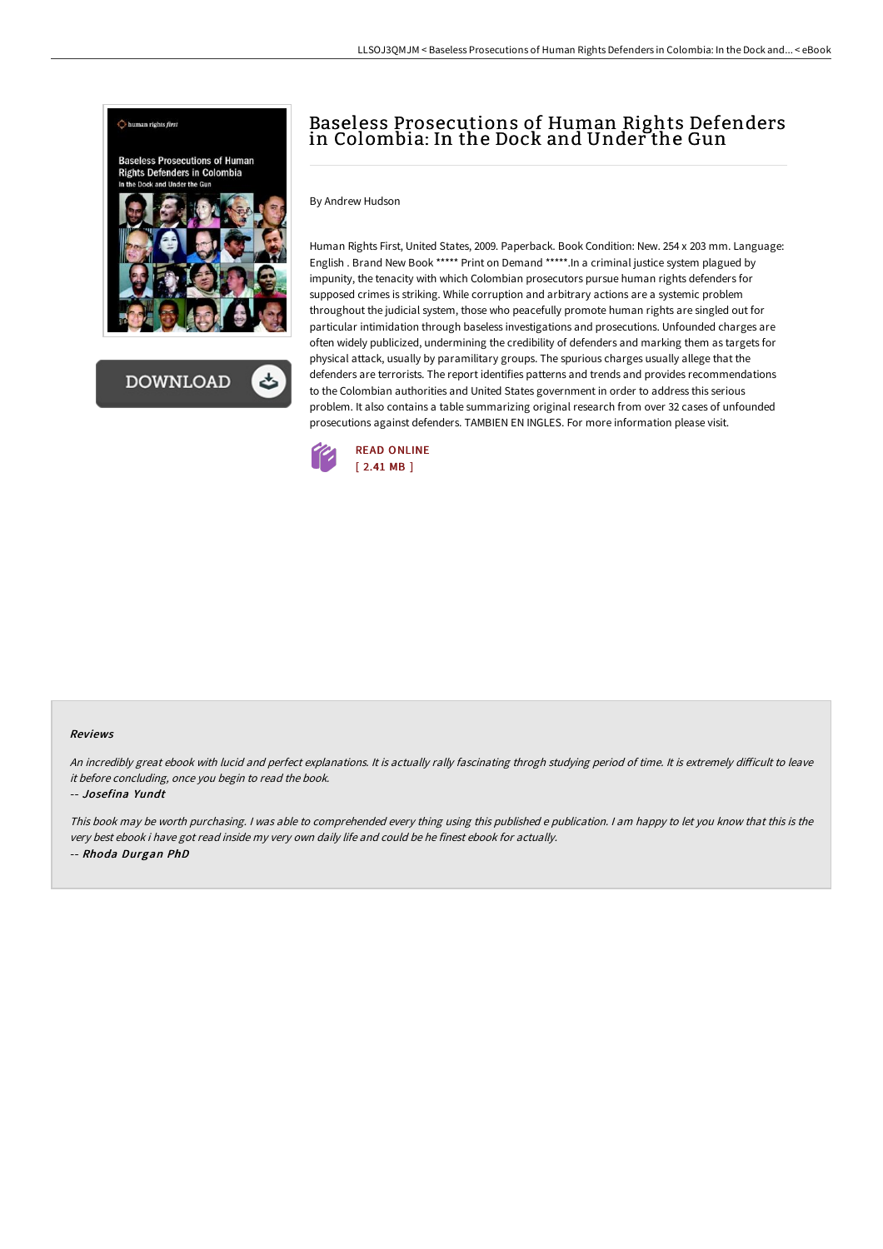

**DOWNLOAD** 

## Baseless Prosecutions of Human Rights Defenders in Colombia: In the Dock and Under the Gun

By Andrew Hudson

Human Rights First, United States, 2009. Paperback. Book Condition: New. 254 x 203 mm. Language: English . Brand New Book \*\*\*\*\* Print on Demand \*\*\*\*\*.In a criminal justice system plagued by impunity, the tenacity with which Colombian prosecutors pursue human rights defenders for supposed crimes is striking. While corruption and arbitrary actions are a systemic problem throughout the judicial system, those who peacefully promote human rights are singled out for particular intimidation through baseless investigations and prosecutions. Unfounded charges are often widely publicized, undermining the credibility of defenders and marking them as targets for physical attack, usually by paramilitary groups. The spurious charges usually allege that the defenders are terrorists. The report identifies patterns and trends and provides recommendations to the Colombian authorities and United States government in order to address this serious problem. It also contains a table summarizing original research from over 32 cases of unfounded prosecutions against defenders. TAMBIEN EN INGLES. For more information please visit.



## Reviews

An incredibly great ebook with lucid and perfect explanations. It is actually rally fascinating throgh studying period of time. It is extremely difficult to leave it before concluding, once you begin to read the book.

## -- Josefina Yundt

This book may be worth purchasing. I was able to comprehended every thing using this published <sup>e</sup> publication. I am happy to let you know that this is the very best ebook i have got read inside my very own daily life and could be he finest ebook for actually. -- Rhoda Durgan PhD